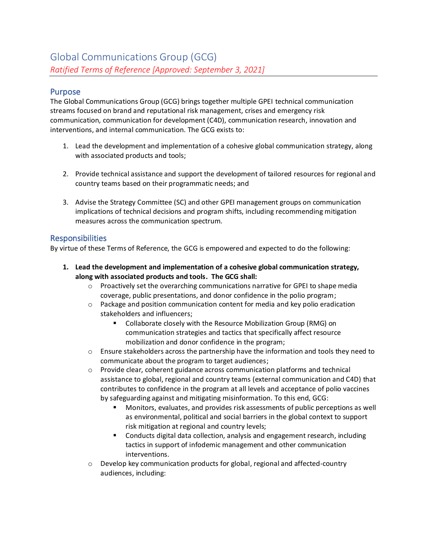### Purpose

The Global Communications Group (GCG) brings together multiple GPEI technical communication streams focused on brand and reputational risk management, crises and emergency risk communication, communication for development (C4D), communication research, innovation and interventions, and internal communication. The GCG exists to:

- 1. Lead the development and implementation of a cohesive global communication strategy, along with associated products and tools;
- 2. Provide technical assistance and support the development of tailored resources for regional and country teams based on their programmatic needs; and
- 3. Advise the Strategy Committee (SC) and other GPEI management groups on communication implications of technical decisions and program shifts, including recommending mitigation measures across the communication spectrum.

# Responsibilities

By virtue of these Terms of Reference, the GCG is empowered and expected to do the following:

- **1. Lead the development and implementation of a cohesive global communication strategy, along with associated products and tools. The GCG shall:**
	- o Proactively set the overarching communications narrative for GPEI to shape media coverage, public presentations, and donor confidence in the polio program;
	- $\circ$  Package and position communication content for media and key polio eradication stakeholders and influencers;
		- Collaborate closely with the Resource Mobilization Group (RMG) on communication strategies and tactics that specifically affect resource mobilization and donor confidence in the program;
	- $\circ$  Ensure stakeholders across the partnership have the information and tools they need to communicate about the program to target audiences;
	- $\circ$  Provide clear, coherent guidance across communication platforms and technical assistance to global, regional and country teams (external communication and C4D) that contributes to confidence in the program at all levels and acceptance of polio vaccines by safeguarding against and mitigating misinformation. To this end, GCG:
		- Monitors, evaluates, and provides risk assessments of public perceptions as well as environmental, political and social barriers in the global context to support risk mitigation at regional and country levels;
		- Conducts digital data collection, analysis and engagement research, including tactics in support of infodemic management and other communication interventions.
	- o Develop key communication products for global, regional and affected-country audiences, including: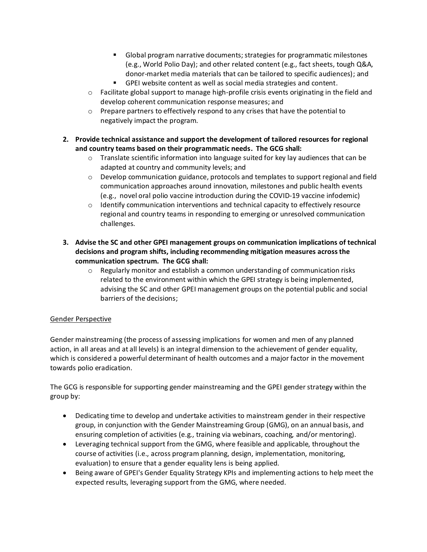- Global program narrative documents; strategies for programmatic milestones (e.g., World Polio Day); and other related content (e.g., fact sheets, tough Q&A, donor-market media materials that can be tailored to specific audiences); and
- GPEI website content as well as social media strategies and content.
- $\circ$  Facilitate global support to manage high-profile crisis events originating in the field and develop coherent communication response measures; and
- o Prepare partners to effectively respond to any crises that have the potential to negatively impact the program.
- **2. Provide technical assistance and support the development of tailored resources for regional and country teams based on their programmatic needs. The GCG shall:**
	- $\circ$  Translate scientific information into language suited for key lay audiences that can be adapted at country and community levels; and
	- $\circ$  Develop communication guidance, protocols and templates to support regional and field communication approaches around innovation, milestones and public health events (e.g., novel oral polio vaccine introduction during the COVID-19 vaccine infodemic)
	- $\circ$  Identify communication interventions and technical capacity to effectively resource regional and country teams in responding to emerging or unresolved communication challenges.
- **3. Advise the SC and other GPEI management groups on communication implications of technical decisions and program shifts, including recommending mitigation measures across the communication spectrum. The GCG shall:**
	- $\circ$  Regularly monitor and establish a common understanding of communication risks related to the environment within which the GPEI strategy is being implemented, advising the SC and other GPEI management groups on the potential public and social barriers of the decisions;

#### Gender Perspective

Gender mainstreaming (the process of assessing implications for women and men of any planned action, in all areas and at all levels) is an integral dimension to the achievement of gender equality, which is considered a powerful determinant of health outcomes and a major factor in the movement towards polio eradication.

The GCG is responsible for supporting gender mainstreaming and the GPEI gender strategy within the group by:

- Dedicating time to develop and undertake activities to mainstream gender in their respective group, in conjunction with the Gender Mainstreaming Group (GMG), on an annual basis, and ensuring completion of activities (e.g., training via webinars, coaching, and/or mentoring).
- Leveraging technical support from the GMG, where feasible and applicable, throughout the course of activities (i.e., across program planning, design, implementation, monitoring, evaluation) to ensure that a gender equality lens is being applied.
- Being aware of GPEI's Gender Equality Strategy KPIs and implementing actions to help meet the expected results, leveraging support from the GMG, where needed.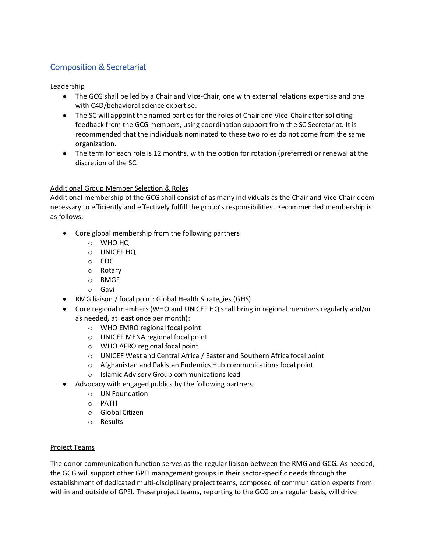# Composition & Secretariat

#### Leadership

- The GCG shall be led by a Chair and Vice-Chair, one with external relations expertise and one with C4D/behavioral science expertise.
- The SC will appoint the named parties for the roles of Chair and Vice-Chair after soliciting feedback from the GCG members, using coordination support from the SC Secretariat. It is recommended that the individuals nominated to these two roles do not come from the same organization.
- The term for each role is 12 months, with the option for rotation (preferred) or renewal at the discretion of the SC.

#### Additional Group Member Selection & Roles

Additional membership of the GCG shall consist of as many individuals as the Chair and Vice-Chair deem necessary to efficiently and effectively fulfill the group's responsibilities. Recommended membership is as follows:

- Core global membership from the following partners:
	- o WHO HQ
	- o UNICEF HQ
	- o CDC
	- o Rotary
	- o BMGF
	- o Gavi
- RMG liaison / focal point: Global Health Strategies (GHS)
- Core regional members (WHO and UNICEF HQ shall bring in regional members regularly and/or as needed, at least once per month):
	- o WHO EMRO regional focal point
	- o UNICEF MENA regional focal point
	- o WHO AFRO regional focal point
	- o UNICEF West and Central Africa / Easter and Southern Africa focal point
	- o Afghanistan and Pakistan Endemics Hub communications focal point
	- o Islamic Advisory Group communications lead
- Advocacy with engaged publics by the following partners:
	- o UN Foundation
	- o PATH
	- o Global Citizen
	- o Results

#### Project Teams

The donor communication function serves as the regular liaison between the RMG and GCG. As needed, the GCG will support other GPEI management groups in their sector-specific needs through the establishment of dedicated multi-disciplinary project teams, composed of communication experts from within and outside of GPEI. These project teams, reporting to the GCG on a regular basis, will drive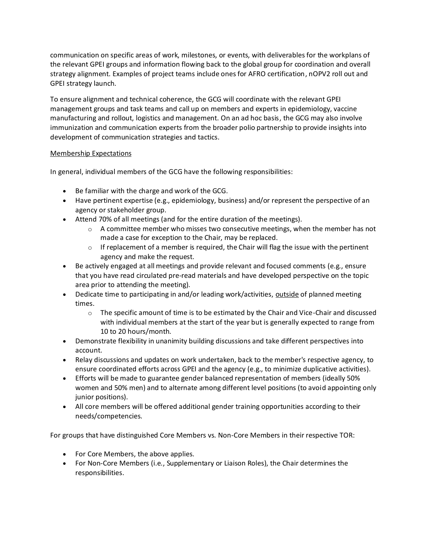communication on specific areas of work, milestones, or events, with deliverables for the workplans of the relevant GPEI groups and information flowing back to the global group for coordination and overall strategy alignment. Examples of project teams include ones for AFRO certification, nOPV2 roll out and GPEI strategy launch.

To ensure alignment and technical coherence, the GCG will coordinate with the relevant GPEI management groups and task teams and call up on members and experts in epidemiology, vaccine manufacturing and rollout, logistics and management. On an ad hoc basis, the GCG may also involve immunization and communication experts from the broader polio partnership to provide insights into development of communication strategies and tactics.

#### Membership Expectations

In general, individual members of the GCG have the following responsibilities:

- Be familiar with the charge and work of the GCG.
- Have pertinent expertise (e.g., epidemiology, business) and/or represent the perspective of an agency or stakeholder group.
- Attend 70% of all meetings (and for the entire duration of the meetings).
	- $\circ$  A committee member who misses two consecutive meetings, when the member has not made a case for exception to the Chair, may be replaced.
	- $\circ$  If replacement of a member is required, the Chair will flag the issue with the pertinent agency and make the request.
- Be actively engaged at all meetings and provide relevant and focused comments (e.g., ensure that you have read circulated pre-read materials and have developed perspective on the topic area prior to attending the meeting).
- Dedicate time to participating in and/or leading work/activities, outside of planned meeting times.
	- $\circ$  The specific amount of time is to be estimated by the Chair and Vice-Chair and discussed with individual members at the start of the year but is generally expected to range from 10 to 20 hours/month.
- Demonstrate flexibility in unanimity building discussions and take different perspectives into account.
- Relay discussions and updates on work undertaken, back to the member's respective agency, to ensure coordinated efforts across GPEI and the agency (e.g., to minimize duplicative activities).
- Efforts will be made to guarantee gender balanced representation of members (ideally 50% women and 50% men) and to alternate among different level positions (to avoid appointing only junior positions).
- All core members will be offered additional gender training opportunities according to their needs/competencies.

For groups that have distinguished Core Members vs. Non-Core Members in their respective TOR:

- For Core Members, the above applies.
- For Non-Core Members (i.e., Supplementary or Liaison Roles), the Chair determines the responsibilities.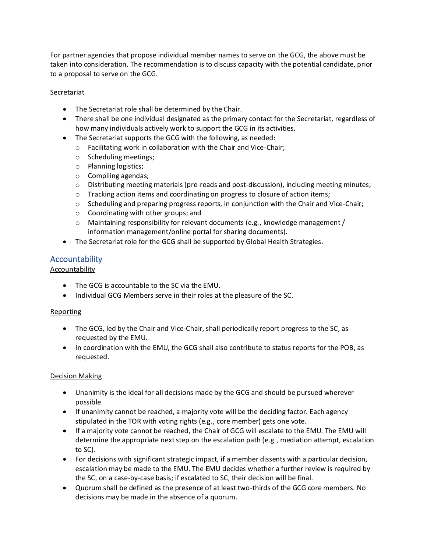For partner agencies that propose individual member names to serve on the GCG, the above must be taken into consideration. The recommendation is to discuss capacity with the potential candidate, prior to a proposal to serve on the GCG.

#### **Secretariat**

- The Secretariat role shall be determined by the Chair.
- There shall be one individual designated as the primary contact for the Secretariat, regardless of how many individuals actively work to support the GCG in its activities.
- The Secretariat supports the GCG with the following, as needed:
	- o Facilitating work in collaboration with the Chair and Vice-Chair;
	- o Scheduling meetings;
	- o Planning logistics;
	- o Compiling agendas;
	- $\circ$  Distributing meeting materials (pre-reads and post-discussion), including meeting minutes;
	- o Tracking action items and coordinating on progress to closure of action items;
	- o Scheduling and preparing progress reports, in conjunction with the Chair and Vice-Chair;
	- o Coordinating with other groups; and
	- $\circ$  Maintaining responsibility for relevant documents (e.g., knowledge management / information management/online portal for sharing documents).
- The Secretariat role for the GCG shall be supported by Global Health Strategies.

# Accountability

### Accountability

- The GCG is accountable to the SC via the EMU.
- Individual GCG Members serve in their roles at the pleasure of the SC.

#### Reporting

- The GCG, led by the Chair and Vice-Chair, shall periodically report progress to the SC, as requested by the EMU.
- In coordination with the EMU, the GCG shall also contribute to status reports for the POB, as requested.

#### Decision Making

- Unanimity is the ideal for all decisions made by the GCG and should be pursued wherever possible.
- If unanimity cannot be reached, a majority vote will be the deciding factor. Each agency stipulated in the TOR with voting rights (e.g., core member) gets one vote.
- If a majority vote cannot be reached, the Chair of GCG will escalate to the EMU. The EMU will determine the appropriate next step on the escalation path (e.g., mediation attempt, escalation to SC).
- For decisions with significant strategic impact, if a member dissents with a particular decision, escalation may be made to the EMU. The EMU decides whether a further review is required by the SC, on a case-by-case basis; if escalated to SC, their decision will be final.
- Quorum shall be defined as the presence of at least two-thirds of the GCG core members. No decisions may be made in the absence of a quorum.